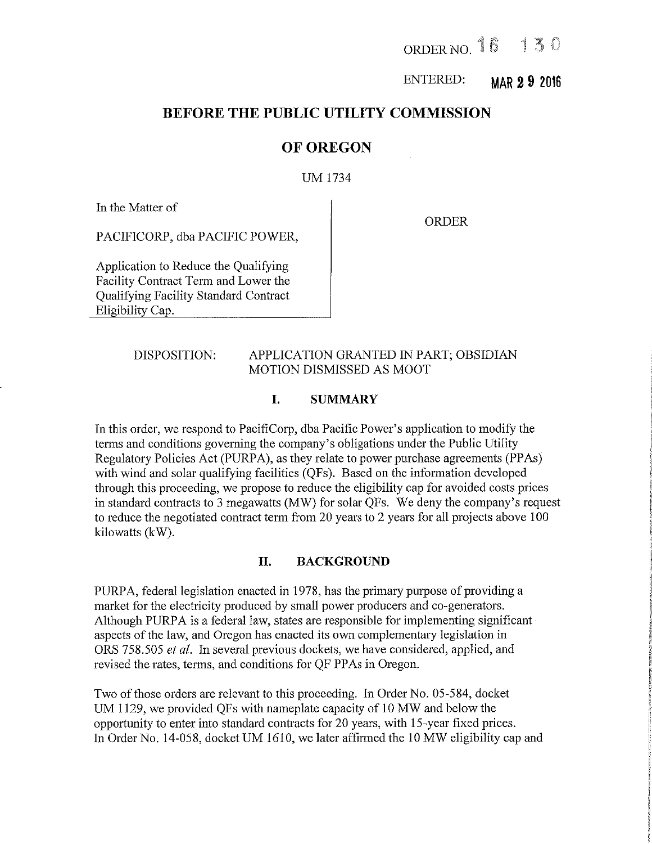ORDER NO. 16 130

ENTERED:  $MAP 2 9 2016$ 

# BEFORE THE PUBLIC UTILITY COMMISSION

# OF OREGON

## UM 1734

In the Matter of

ORDER

PACIFICORP, dba PACIFIC POWER,

Application to Reduce the Qualifying Facility Contract Term and Lower the Qualifying Facility Standard Contract Eligibility Cap.

# DISPOSITION: APPLICATION GRANTED IN PART; OBSIDIAN MOTION DISMISSED AS MOOT

## I. SUMMARY

In this order, we respond to PacifiCorp, dba Pacific Power's application to modify the terms and conditions governing the company's obligations under the Public Utility Regulatory Policies Act (PURPA), as they relate to power purchase agreements (PPAs) with wind and solar qualifying facilities (QFs). Based on the information developed through this proceeding, we propose to reduce the eligibility cap for avoided costs prices in standard contracts to 3 megawatts (MW) for solar QFs. We deny the company's request to reduce the negotiated contract term from 20 years to 2 years for all projects above 100 kilowatts (kW).

## II. BACKGROUND

PURPA, federal legislation enacted in 1978, has the primary purpose of providing a market for the electricity produced by small power producers and co-generators. Although PURPA is a federal law, states are responsible for implementing significant aspects of the law, and Oregon has enacted its own complementary legislation in ORS 758.505 et al. In several previous dockets, we have considered, applied, and revised the rates, terms, and conditions for QF PPAs in Oregon.

Two of those orders are relevant to this proceeding. In Order No.05-584, docket UM 1129, we provided QFs with nameplate capacity of 10 MW and below the opportunity to enter into standard contracts for 20 years, with 15-year fixed prices. In Order No. 14-058, docket UM 1610, we later affirmed the 10 MW eligibility cap and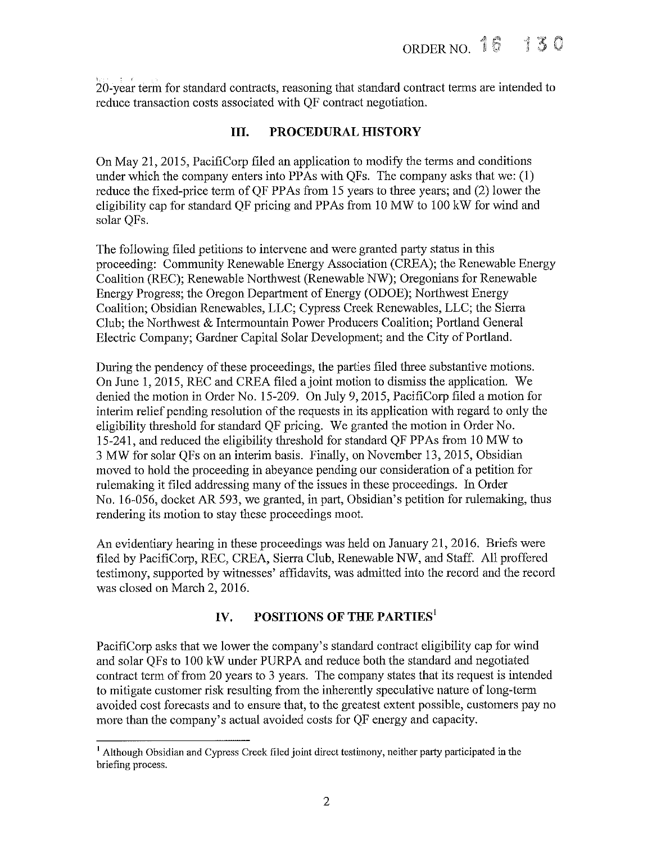20-year term for standard contracts, reasoning that standard contract terms are intended to reduce transaction costs associated with QF contract negotiation.

# III. PROCEDURAL HISTORY

On May 21, 2015, PacifiCorp filed an application to modify the terms and conditions under which the company enters into PPAs with QFs. The company asks that we: (1) reduce the fixed-price term of QF PPAs from 15 years to three years; and (2) lower the eligibility cap for standard QF pricing and PPAs from 10 MW to 100 kW for wind and solar QFs.

The following filed petitions to intervene and were granted party status in this proceeding: Community Renewable Energy Association (CREA); the Renewable Energy Coalition (REC); Renewable Northwest (Renewable NW); Oregonians for Renewable Energy Progress; the Oregon Department of Energy (ODOE); Northwest Energy Coalition; Obsidian Renewables, LLC; Cypress Creek Renewables, LLC; the Sierra Club; the Northwest & Intermountain Power Producers Coalition; Portland General Electric Company; Gardner Capital Solar Development; and the City of Portland.

During the pendency of these proceedings, the parties filed three substantive motions. On June 1, 2015, REC and CREA filed ajoint motion to dismiss the application. We denied the motion in Order No. 15-209. On July 9, 2015, PacifiCorp filed a motion for interim relief pending resolution of the requests in its application with regard to only the eligibility threshold for standard QF pricing. We granted the motion in Order No. 15-241, and reduced the eligibility threshold for standard QF PPAs from 10 MW to 3 MW for solar QFs on an interim basis. Finally, on November 13, 2015, Obsidian moved to hold the proceeding in abeyance pending our consideration of a petition for rulemaking it filed addressing many of the issues in these proceedings. In Order No. 16-056, docket AR 593, we granted, m part, Obsidian's petition for mlemaking, thus rendering its motion to stay these proceedings moot.

An evidentiary hearing in these proceedings was held on January 21, 2016. Briefs were filed by PacifiCorp, REC, CREA, Sierra Club, Renewable NW, and Staff. All proffered testimony, supported by witnesses' affidavits, was admitted into the record and the record was closed on March 2, 2016.

# IV. POSITIONS OF THE PARTIES<sup>1</sup>

PacifiCorp asks that we lower the company's standard contract eligibility cap for wind and solar QFs to 100 kW under PURPA and reduce both the standard and negotiated contract term of from 20 years to 3 years. The company states that its request is intended to mitigate customer risk resulting from the inherently speculative nature of long-term avoided cost forecasts and to ensure that, to the greatest extent possible, customers pay no more than the company's actual avoided costs for QF energy and capacity.

<sup>&</sup>lt;sup>1</sup> Although Obsidian and Cypress Creek filed joint direct testimony, neither party participated in the briefing process.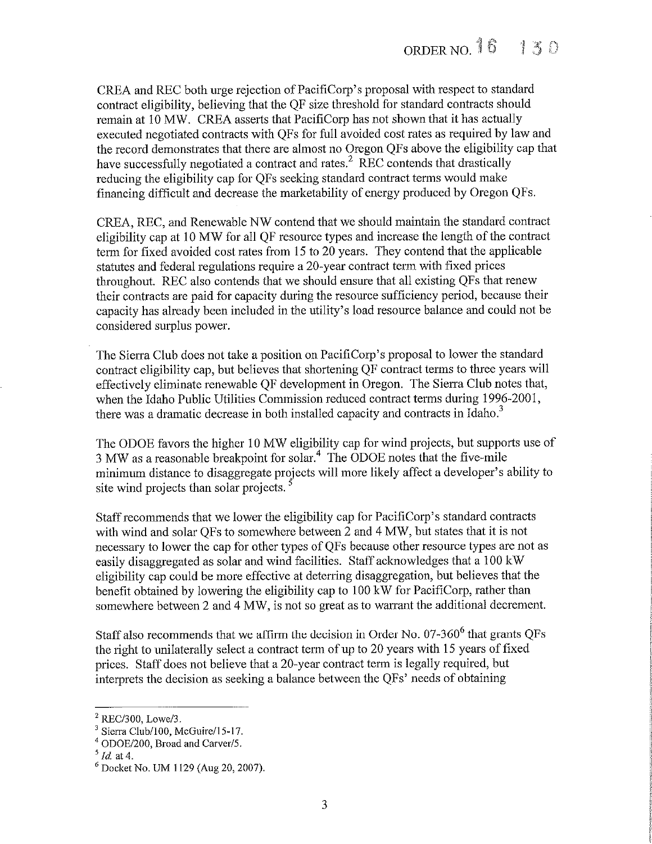CREA and REC both urge rejection of PacifiCorp's proposal with respect to standard contract eligibility, believing that the QF size threshold for standard contracts should remain at 10 MW. CREA asserts that PacifiCorp has not shown that it has actually executed negotiated contracts with QFs for full avoided cost rates as required by law and the record demonstrates that there are almost no Oregon QFs above the eligibility cap that have successfully negotiated a contract and rates.<sup>2</sup> REC contends that drastically reducing the eligibility cap for QFs seeking standard contract terms would make financing difficult and decrease the marketability of energy produced by Oregon QFs.

CREA, REC, and Renewable NW contend that we should maintain the standard contract eligibility cap at 10 MW for all QF resource types and increase the length of the contract term for fixed avoided cost rates from 15 to 20 years. They contend that the applicable statutes and federal regulations require a 20-year contract term with fixed prices throughout. REC also contends that we should ensure that all existing QFs that renew their contracts are paid for capacity during the resource sufficiency period, because their capacity has already been included in the utility's load resource balance and could not be considered surplus power.

The Sierra Club does not take a position on PacifiCorp's proposal to lower the standard contract eligibility cap, but believes that shortening QF contract terms to three years will effectively eliminate renewable QF development in Oregon. The Sierra Club notes that, when the Idaho Public Utilities Commission reduced contract terms during 1996-2001, there was a dramatic decrease in both installed capacity and contracts in Idaho.<sup>3</sup>

The ODOE favors the higher 10 MW eligibility cap for wind projects, but supports use of 3 MW as a reasonable breakpoint for solar.<sup>4</sup> The ODOE notes that the five-mile minimum distance to disaggregate projects will more likely affect a developer's ability to site wind projects than solar projects.

Staff recommends that we lower the eligibility cap for PacifiCorp's standard contracts with wind and solar QFs to somewhere between 2 and 4 MW, but states that it is not necessary to lower the cap for other types ofQFs because other resource types are not as easily disaggregated as solar and wind facilities. Staff acknowledges that a 100 kW eligibility cap could be more effective at deferring disaggregation, but believes that the benefit obtained by lowering the eligibility cap to 100 kW for PacifiCorp, rather than somewhere between 2 and 4 MW, is not so great as to warrant the additional decrement

Staff also recommends that we affirm the decision in Order No.  $07-360^6$  that grants OFs the right to unilaterally select a contract term of up to 20 years with 15 years affixed prices. Staff does not believe that a 20-year contract term is legally required, but interprets the decision as seeking a balance between the QFs' needs of obtaining

 $2$  REC/300, Lowe/3.

<sup>&</sup>lt;sup>3</sup> Sierra Club/100, McGuire/15-17.

<sup>4</sup> ODOE/200, Broad and Carver/5.

 $<sup>5</sup>$  Id. at 4.</sup>

<sup>6</sup> Docket No. UM 1 129 (Aug 20, 2007).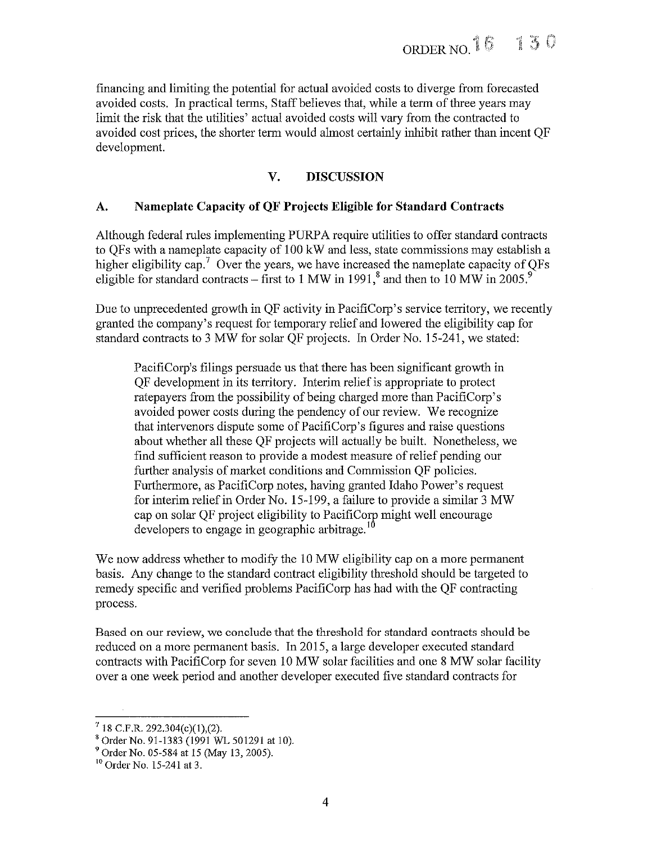financing and limiting the potential for actual avoided costs to diverge from forecasted avoided costs. In practical terms, Staff believes that, while a term of three years may limit the risk that the utilities' actual avoided costs will vary from the contracted to avoided cost prices, the shorter term would almost certainly inhibit rather than incent OF development.

# V. DISCUSSION

# A. Nameplate Capacity of QF Projects Eligible for Standard Contracts

Although federal rules implementing PURPA require utilities to offer standard contracts to QFs with a nameplate capacity of 100 kW and less, state commissions may establish a higher eligibility cap.<sup>7</sup> Over the years, we have increased the nameplate capacity of QFs eligible for standard contracts – first to 1 MW in 1991,<sup>8</sup> and then to 10 MW in 2005.<sup>9</sup>

Due to unprecedented growth in QF activity in PacifiCorp's service territory, we recently granted the company's request for temporary relief and lowered the eligibility cap for standard contracts to 3 MW for solar QF projects. In Order No. 15-241, we stated:

PacifiCorp's filings persuade us that there has been significant growth in QF development in its territory. Interim relief is appropriate to protect ratepayers from the possibility of being charged more than PacifiCorp's avoided power costs during the pendency of our review. We recognize that intervenors dispute some of PacifiCorp's figures and raise questions about whether all these QF projects will actually be built. Nonetheless, we find sufficient reason to provide a modest measure of relief pending our further analysis of market conditions and Commission OF policies. Furthermore, as PacifiCorp notes, having granted Idaho Power's request for interim relief in Order No. 15-199, a failure to provide a similar 3 MW cap on solar QF project eligibility to PacifiCorp might well encourage developers to engage in geographic arbitrage.<sup>10</sup>

We now address whether to modify the 10 MW eligibility cap on a more permanent basis. Any change to the standard contract eligibility threshold should be targeted to remedy specific and verified problems PaclfiCorp has had with the QF contracting process.

Based on our review, we conclude that the threshold for standard contracts should be reduced on a more permanent basis. In 2015, a large developer executed standard contracts with PaciflCorp for seven 10 MW solar facilities and one 8 MW solar facility over a one week period and another developer executed five standard contracts for

 $7$  18 C.F.R. 292.304(c)(1),(2).

<sup>8</sup> Order No. 91-1383 (1991 WL 501291 at 10).

<sup>9</sup> Order No. 05-584 at 15 (May 13, 2005).

<sup>10</sup> Order No. 15-241 at 3.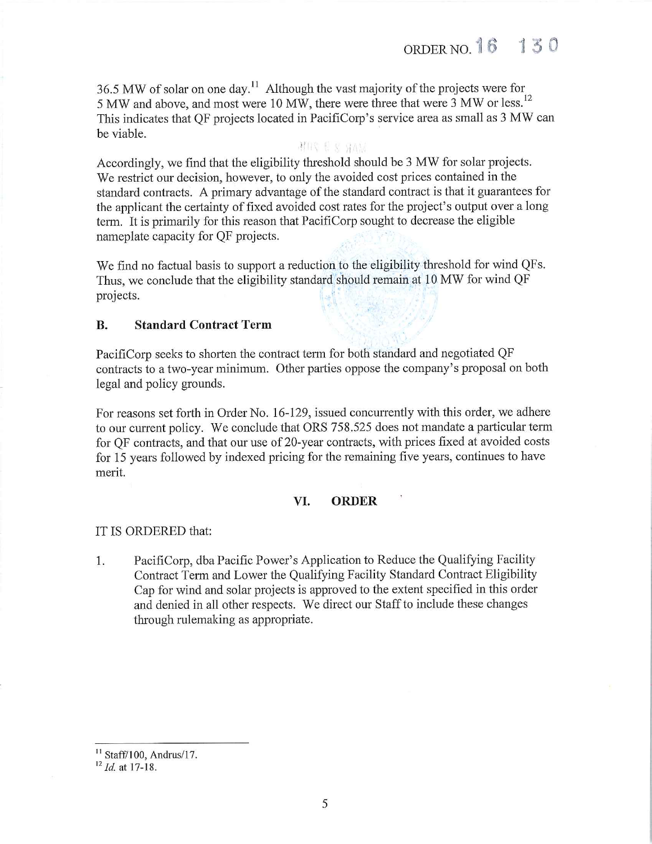36.5 MW of solar on one day.<sup>11</sup> Although the vast majority of the projects were for 5 MW and above, and most were 10 MW, there were three that were 3 MW or less.<sup>12</sup> This indicates that QF projects located in PacifiCorp's service area as small as 3 MW can be viable.

#### MIR ES HAM

Accordingly, we find that the eligibility threshold should be 3 MW for solar projects. We restrict our decision, however, to only the avoided cost prices contained in the standard contracts. A primary advantage of the standard contract is that it guarantees for the applicant the certainty of fixed avoided cost rates for the project's output over a long term. It is primarily for this reason that PacifiCorp sought to decrease the eligible nameplate capacity for QF projects.

We find no factual basis to support a reduction to the eligibility threshold for wind QFs. Thus, we conclude that the eligibility standard should remain at 10 MW for wind QF projects.

## B. Standard Contract Term

PacifiCorp seeks to shorten the contract term for both standard and negotiated QF contracts to a two-year minimum. Other parties oppose the company's proposal on both legal and policy grounds.

For reasons set forth in Order No. 16-129, issued concurrently with this order, we adhere to our current policy. We conclude that ORS 758.525 does not mandate a particular term for QF contracts, and that our use of 20-year contracts, with prices fixed at avoided costs for 15 years followed by indexed pricing for the remaining five years, continues to have merit.

## VI. ORDER

#### IT IS ORDERED that:

1. PacifiCorp, dba Pacific Power's Application to Reduce the Qualifying Facility Contract Term and Lower the Qualifying Facility Standard Contract Eligibility Cap for wind and solar projects is approved to the extent specified in this order and denied in all other respects. We direct our Staff to include these changes through rulemaking as appropriate.

 $11$  Staff/100, Andrus/17.

 $12$  *Id.* at 17-18.